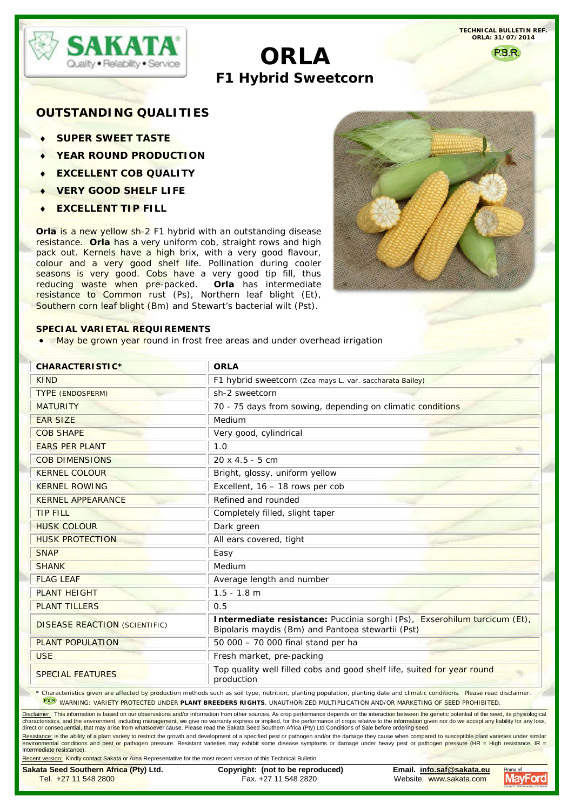

# **ORLA F1 Hybrid Sweetcorn**

**TECHNICAL BULLETIN REF. ORLA: 31/07/2014**

P.B.R.

## **OUTSTANDING QUALITIES**

- **SUPER SWEET TASTE**
- **YEAR ROUND PRODUCTION**
- **EXCELLENT COB QUALITY**
- ♦ **VERY GOOD SHELF LIFE**
- ♦ **EXCELLENT TIP FILL**

**Orla** is a new yellow sh-2 F1 hybrid with an outstanding disease resistance. **Orla** has a very uniform cob, straight rows and high pack out. Kernels have a high brix, with a very good flavour, colour and a very good shelf life. Pollination during cooler seasons is very good. Cobs have a very good tip fill, thus reducing waste when pre-packed. **Orla** has intermediate resistance to Common rust (Ps), Northern leaf blight (Et), Southern corn leaf blight (Bm) and Stewart's bacterial wilt (Pst).



#### **SPECIAL VARIETAL REQUIREMENTS**

• May be grown year round in frost free areas and under overhead irrigation

| <b>CHARACTERISTIC*</b>               | <b>ORLA</b>                                                                                                                    |  |  |  |
|--------------------------------------|--------------------------------------------------------------------------------------------------------------------------------|--|--|--|
| <b>KIND</b>                          | F1 hybrid sweetcorn (Zea mays L. var. saccharata Bailey)                                                                       |  |  |  |
| <b>TYPE (ENDOSPERM)</b>              | sh-2 sweetcorn                                                                                                                 |  |  |  |
| <b>MATURITY</b>                      | 70 - 75 days from sowing, depending on climatic conditions                                                                     |  |  |  |
| <b>EAR SIZE</b>                      | Medium                                                                                                                         |  |  |  |
| <b>COB SHAPE</b>                     | Very good, cylindrical                                                                                                         |  |  |  |
| <b>EARS PER PLANT</b>                | 1.0                                                                                                                            |  |  |  |
| <b>COB DIMENSIONS</b>                | $20 \times 4.5 - 5$ cm                                                                                                         |  |  |  |
| <b>KERNEL COLOUR</b>                 | Bright, glossy, uniform yellow                                                                                                 |  |  |  |
| <b>KERNEL ROWING</b>                 | Excellent, 16 - 18 rows per cob                                                                                                |  |  |  |
| <b>KERNEL APPEARANCE</b>             | Refined and rounded                                                                                                            |  |  |  |
| <b>TIP FILL</b>                      | Completely filled, slight taper                                                                                                |  |  |  |
| <b>HUSK COLOUR</b>                   | Dark green                                                                                                                     |  |  |  |
| <b>HUSK PROTECTION</b>               | All ears covered, tight                                                                                                        |  |  |  |
| <b>SNAP</b>                          | Easy                                                                                                                           |  |  |  |
| <b>SHANK</b>                         | Medium                                                                                                                         |  |  |  |
| <b>FLAG LEAF</b>                     | Average length and number                                                                                                      |  |  |  |
| <b>PLANT HEIGHT</b>                  | $1.5 - 1.8$ m                                                                                                                  |  |  |  |
| <b>PLANT TILLERS</b>                 | 0.5                                                                                                                            |  |  |  |
| <b>DISEASE REACTION (SCIENTIFIC)</b> | Intermediate resistance: Puccinia sorghi (Ps), Exserohilum turcicum (Et),<br>Bipolaris maydis (Bm) and Pantoea stewartii (Pst) |  |  |  |
| <b>PLANT POPULATION</b>              | 50 000 - 70 000 final stand per ha                                                                                             |  |  |  |
| <b>USE</b>                           | Fresh market, pre-packing                                                                                                      |  |  |  |
| <b>SPECIAL FEATURES</b>              | Top quality well filled cobs and good shelf life, suited for year round<br>production                                          |  |  |  |

<u>Disclaimer:</u> This information is based on our observations and/or information from other sources. As crop performance depends on the interaction between the genetic potential of the seed, its physiological<br>characteristics direct or consequential, that may arise from whatsoever cause. Please read the Sakata Seed Southern Africa (Pty) Ltd Conditions of Sale before ordering seed.

<u>Resistance:</u> is the ability of a plant variety to restrict the growth and development of a specified pest or pathogen and/or the damage they cause when compared to susceptible plant varieties under similar<br>environmental c Intermediate resistance).

Recent version: Kindly contact Sakata or Area Representative for the most recent version of this Technical Bulletin.

**Sakata Seed Southern Africa (Pty) Ltd. Copyright: (not to be reproduced) Email. [info.saf@sakata.eu](mailto:info.saf@sakata.eu)** Website. www.sakata.com